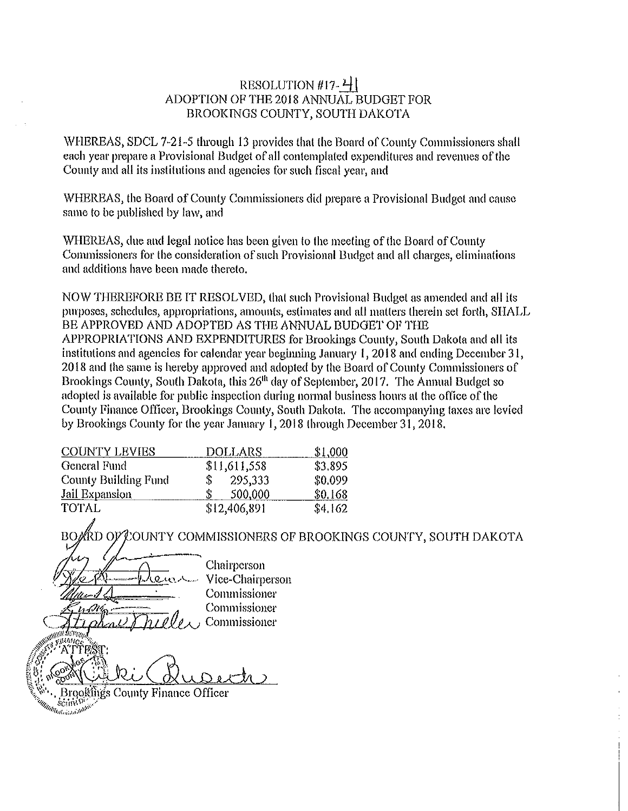# RESOLUTION #17- $4$ ADOPTION OF THE 2018 ANNUAL BUDGET FOR BROOKINGS COUNTY, SOUTH DAKOTA

WHEREAS, SDCL 7-21-5 through 13 provides that the Board of County Commissioners shall each year prepare a Provisional Budget of all contemplated expenditures and revenues of the County and all its institutions and agencies for such fiscal year, and

WHEREAS, the Board of County Commissioners did prepare a Provisional Budget and cause same to be published by law, and

WHEREAS, due and legal notice has been given to the meeting of the Board of County Commissioners for the consideration of such Provisional Budget and all charges, eliminations and additions have been made thereto.

NOW THEREFORE BE IT RESOLVED, that such Provisional Budget as amended and all its purposes, schedules, appropriations, amounts, estimates and all matters therein set forth, SHALL BE APPROVED AND ADOPTED AS THE ANNUAL BUDGET OF THE APPROPRIATIONS AND EXPENDITURES for Brookings County, South Dakota and all its institutions and agencles for calendar year beginning January 1, 2018 and ending December 31, 2018 and the same is hereby approved and adopted by the Board of County Commissioners of Brookings County, South Dakota, this 26<sup>th</sup> day of September, 2017. The Annual Budget so adopted is available for public inspection during normal business hours at the office of the County Finance Officer, Brookings County, South Dakota. The accompanying taxes are levied by Brookings County for the year January 1, 2018 (brough December 31, 2018.

| <b>COUNTY LEVIES</b>        | <b>DOLLARS</b> | \$1,000 |
|-----------------------------|----------------|---------|
| General Fund                | \$11,611,558   | \$3,895 |
| <b>County Building Fund</b> | 295,333<br>\$  | \$0.099 |
| <b>Jail Expansion</b>       | 500,000        | \$0.168 |
| TOTAL                       | \$12,406,891   | \$4,162 |

.<br>KD OP COUNTY COMMISSIONERS OF BROOKINGS COUNTY, SOUTH DAKOTA

Chairperson Vice-Chairperson Commissioner Commissioner Commissioner Brookings County Finance Officer *Million SCUTT D'AIRE*<br>*Million Graduation*  $s_{\rm C1114}$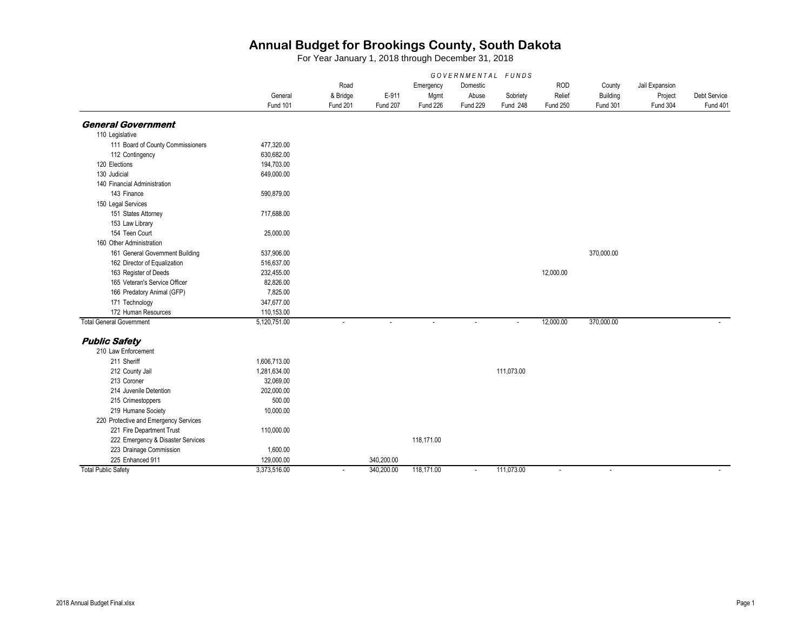|                                       |              |          |            |            | GOVERNMENTAL FUNDS |            |            |                 |                |                 |
|---------------------------------------|--------------|----------|------------|------------|--------------------|------------|------------|-----------------|----------------|-----------------|
|                                       |              | Road     |            | Emergency  | Domestic           |            | <b>ROD</b> | County          | Jail Expansion |                 |
|                                       | General      | & Bridge | E-911      | Mgmt       | Abuse              | Sobriety   | Relief     | Building        | Project        | Debt Service    |
|                                       | Fund 101     | Fund 201 | Fund 207   | Fund 226   | Fund 229           | Fund 248   | Fund 250   | <b>Fund 301</b> | Fund 304       | <b>Fund 401</b> |
| <b>General Government</b>             |              |          |            |            |                    |            |            |                 |                |                 |
| 110 Legislative                       |              |          |            |            |                    |            |            |                 |                |                 |
| 111 Board of County Commissioners     | 477,320.00   |          |            |            |                    |            |            |                 |                |                 |
| 112 Contingency                       | 630,682.00   |          |            |            |                    |            |            |                 |                |                 |
| 120 Elections                         | 194,703.00   |          |            |            |                    |            |            |                 |                |                 |
| 130 Judicial                          | 649,000.00   |          |            |            |                    |            |            |                 |                |                 |
| 140 Financial Administration          |              |          |            |            |                    |            |            |                 |                |                 |
| 143 Finance                           | 590,879.00   |          |            |            |                    |            |            |                 |                |                 |
| 150 Legal Services                    |              |          |            |            |                    |            |            |                 |                |                 |
| 151 States Attorney                   | 717,688.00   |          |            |            |                    |            |            |                 |                |                 |
| 153 Law Library                       |              |          |            |            |                    |            |            |                 |                |                 |
| 154 Teen Court                        | 25,000.00    |          |            |            |                    |            |            |                 |                |                 |
| 160 Other Administration              |              |          |            |            |                    |            |            |                 |                |                 |
| 161 General Government Building       | 537,906.00   |          |            |            |                    |            |            | 370,000.00      |                |                 |
| 162 Director of Equalization          | 516,637.00   |          |            |            |                    |            |            |                 |                |                 |
| 163 Register of Deeds                 | 232,455.00   |          |            |            |                    |            | 12,000.00  |                 |                |                 |
| 165 Veteran's Service Officer         | 82,826.00    |          |            |            |                    |            |            |                 |                |                 |
| 166 Predatory Animal (GFP)            | 7,825.00     |          |            |            |                    |            |            |                 |                |                 |
| 171 Technology                        | 347,677.00   |          |            |            |                    |            |            |                 |                |                 |
| 172 Human Resources                   | 110,153.00   |          |            |            |                    |            |            |                 |                |                 |
| <b>Total General Government</b>       | 5,120,751.00 |          |            | $\sim$     |                    | $\sim$     | 12,000.00  | 370,000.00      |                |                 |
| <b>Public Safety</b>                  |              |          |            |            |                    |            |            |                 |                |                 |
| 210 Law Enforcement                   |              |          |            |            |                    |            |            |                 |                |                 |
| 211 Sheriff                           | 1,606,713.00 |          |            |            |                    |            |            |                 |                |                 |
| 212 County Jail                       | 1,281,634.00 |          |            |            |                    | 111,073.00 |            |                 |                |                 |
| 213 Coroner                           | 32,069.00    |          |            |            |                    |            |            |                 |                |                 |
| 214 Juvenile Detention                | 202,000.00   |          |            |            |                    |            |            |                 |                |                 |
| 215 Crimestoppers                     | 500.00       |          |            |            |                    |            |            |                 |                |                 |
| 219 Humane Society                    | 10,000.00    |          |            |            |                    |            |            |                 |                |                 |
| 220 Protective and Emergency Services |              |          |            |            |                    |            |            |                 |                |                 |
| 221 Fire Department Trust             | 110,000.00   |          |            |            |                    |            |            |                 |                |                 |
| 222 Emergency & Disaster Services     |              |          |            | 118,171.00 |                    |            |            |                 |                |                 |
| 223 Drainage Commission               | 1,600.00     |          |            |            |                    |            |            |                 |                |                 |
| 225 Enhanced 911                      | 129,000.00   |          | 340,200.00 |            |                    |            |            |                 |                |                 |
| <b>Total Public Safety</b>            | 3,373,516.00 | $\sim$   | 340,200.00 | 118,171.00 | $\sim$             | 111,073.00 | $\sim$     | $\sim$          |                |                 |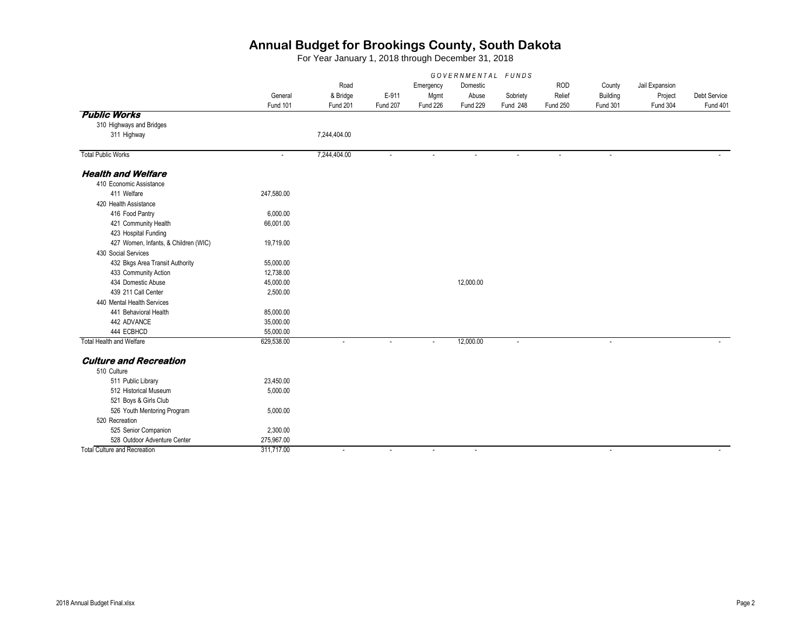|                                      | GOVERNMENTAL FUNDS          |                          |          |           |                          |          |                 |                 |                |              |
|--------------------------------------|-----------------------------|--------------------------|----------|-----------|--------------------------|----------|-----------------|-----------------|----------------|--------------|
|                                      |                             | Road                     |          | Emergency | Domestic                 |          | <b>ROD</b>      | County          | Jail Expansion |              |
|                                      | General                     | & Bridge                 | E-911    | Mgmt      | Abuse                    | Sobriety | Relief          | Building        | Project        | Debt Service |
|                                      | Fund 101                    | Fund 201                 | Fund 207 | Fund 226  | Fund 229                 | Fund 248 | <b>Fund 250</b> | <b>Fund 301</b> | Fund 304       | Fund 401     |
| <b>Public Works</b>                  |                             |                          |          |           |                          |          |                 |                 |                |              |
| 310 Highways and Bridges             |                             |                          |          |           |                          |          |                 |                 |                |              |
| 311 Highway                          |                             | 7,244,404.00             |          |           |                          |          |                 |                 |                |              |
| <b>Total Public Works</b>            | $\mathcal{L}_{\mathcal{A}}$ | 7,244,404.00             | ÷,       |           | $\blacksquare$           | $\sim$   |                 | $\sim$          |                |              |
| <b>Health and Welfare</b>            |                             |                          |          |           |                          |          |                 |                 |                |              |
| 410 Economic Assistance              |                             |                          |          |           |                          |          |                 |                 |                |              |
| 411 Welfare                          | 247,580.00                  |                          |          |           |                          |          |                 |                 |                |              |
| 420 Health Assistance                |                             |                          |          |           |                          |          |                 |                 |                |              |
| 416 Food Pantry                      | 6,000.00                    |                          |          |           |                          |          |                 |                 |                |              |
| 421 Community Health                 | 66,001.00                   |                          |          |           |                          |          |                 |                 |                |              |
| 423 Hospital Funding                 |                             |                          |          |           |                          |          |                 |                 |                |              |
| 427 Women, Infants, & Children (WIC) | 19,719.00                   |                          |          |           |                          |          |                 |                 |                |              |
| 430 Social Services                  |                             |                          |          |           |                          |          |                 |                 |                |              |
| 432 Bkgs Area Transit Authority      | 55,000.00                   |                          |          |           |                          |          |                 |                 |                |              |
| 433 Community Action                 | 12,738.00                   |                          |          |           |                          |          |                 |                 |                |              |
| 434 Domestic Abuse                   | 45,000.00                   |                          |          |           | 12,000.00                |          |                 |                 |                |              |
| 439 211 Call Center                  | 2,500.00                    |                          |          |           |                          |          |                 |                 |                |              |
| 440 Mental Health Services           |                             |                          |          |           |                          |          |                 |                 |                |              |
| 441 Behavioral Health                | 85,000.00                   |                          |          |           |                          |          |                 |                 |                |              |
| 442 ADVANCE                          | 35,000.00                   |                          |          |           |                          |          |                 |                 |                |              |
| 444 ECBHCD                           | 55,000.00                   |                          |          |           |                          |          |                 |                 |                |              |
| <b>Total Health and Welfare</b>      | 629,538.00                  |                          |          |           | 12,000.00                |          |                 |                 |                |              |
| <b>Culture and Recreation</b>        |                             |                          |          |           |                          |          |                 |                 |                |              |
| 510 Culture                          |                             |                          |          |           |                          |          |                 |                 |                |              |
| 511 Public Library                   | 23,450.00                   |                          |          |           |                          |          |                 |                 |                |              |
| 512 Historical Museum                | 5,000.00                    |                          |          |           |                          |          |                 |                 |                |              |
| 521 Boys & Girls Club                |                             |                          |          |           |                          |          |                 |                 |                |              |
| 526 Youth Mentoring Program          | 5,000.00                    |                          |          |           |                          |          |                 |                 |                |              |
| 520 Recreation                       |                             |                          |          |           |                          |          |                 |                 |                |              |
| 525 Senior Companion                 | 2,300.00                    |                          |          |           |                          |          |                 |                 |                |              |
| 528 Outdoor Adventure Center         | 275,967.00                  |                          |          |           |                          |          |                 |                 |                |              |
| <b>Total Culture and Recreation</b>  | 311,717.00                  | $\overline{\phantom{a}}$ | $\sim$   | $\sim$    | $\overline{\phantom{a}}$ |          |                 | $\sim$          |                |              |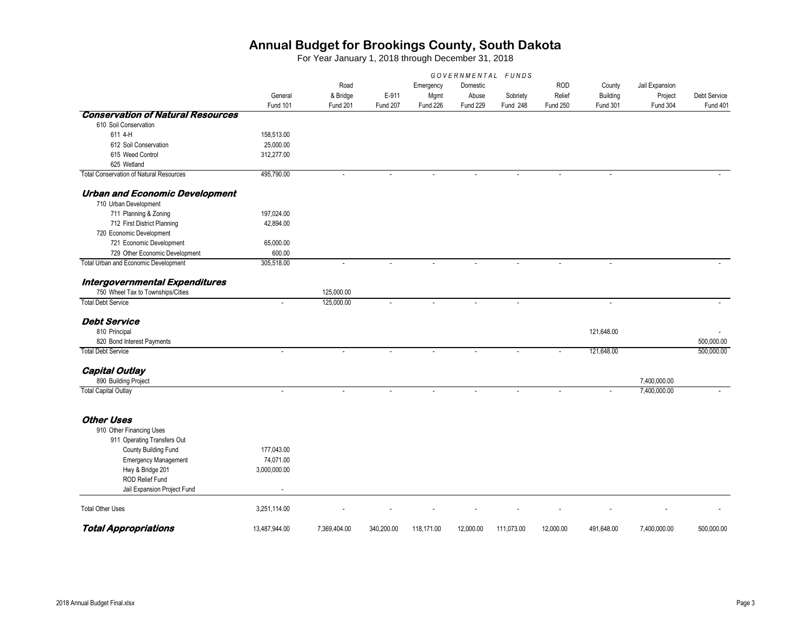|                                                | GOVERNMENTAL FUNDS |                          |            |            |           |            |                 |                             |                |              |  |
|------------------------------------------------|--------------------|--------------------------|------------|------------|-----------|------------|-----------------|-----------------------------|----------------|--------------|--|
|                                                |                    | Road                     |            | Emergency  | Domestic  |            | <b>ROD</b>      | County                      | Jail Expansion |              |  |
|                                                | General            | & Bridge                 | E-911      | Mgmt       | Abuse     | Sobriety   | Relief          | Building                    | Project        | Debt Service |  |
|                                                | Fund 101           | Fund 201                 | Fund 207   | Fund 226   | Fund 229  | Fund 248   | <b>Fund 250</b> | Fund 301                    | Fund 304       | Fund 401     |  |
| <b>Conservation of Natural Resources</b>       |                    |                          |            |            |           |            |                 |                             |                |              |  |
| 610 Soil Conservation                          |                    |                          |            |            |           |            |                 |                             |                |              |  |
| 611 4-H                                        | 158,513.00         |                          |            |            |           |            |                 |                             |                |              |  |
| 612 Soil Conservation                          | 25,000.00          |                          |            |            |           |            |                 |                             |                |              |  |
| 615 Weed Control                               | 312,277.00         |                          |            |            |           |            |                 |                             |                |              |  |
| 625 Wetland                                    |                    |                          |            |            |           |            |                 |                             |                |              |  |
| <b>Total Conservation of Natural Resources</b> | 495,790.00         |                          |            |            |           |            |                 |                             |                |              |  |
| <b>Urban and Economic Development</b>          |                    |                          |            |            |           |            |                 |                             |                |              |  |
| 710 Urban Development                          |                    |                          |            |            |           |            |                 |                             |                |              |  |
| 711 Planning & Zoning                          | 197,024.00         |                          |            |            |           |            |                 |                             |                |              |  |
| 712 First District Planning                    | 42,894.00          |                          |            |            |           |            |                 |                             |                |              |  |
| 720 Economic Development                       |                    |                          |            |            |           |            |                 |                             |                |              |  |
| 721 Economic Development                       | 65,000.00          |                          |            |            |           |            |                 |                             |                |              |  |
| 729 Other Economic Development                 | 600.00             |                          |            |            |           |            |                 |                             |                |              |  |
| Total Urban and Economic Development           | 305,518.00         | $\overline{\phantom{a}}$ |            |            |           |            |                 |                             |                |              |  |
| Intergovernmental Expenditures                 |                    |                          |            |            |           |            |                 |                             |                |              |  |
| 750 Wheel Tax to Townships/Cities              |                    | 125,000.00               |            |            |           |            |                 |                             |                |              |  |
| <b>Total Debt Service</b>                      | ÷,                 | 125,000.00               |            | $\sim$     |           |            |                 | $\mathcal{L}_{\mathcal{A}}$ |                |              |  |
| <b>Debt Service</b>                            |                    |                          |            |            |           |            |                 |                             |                |              |  |
| 810 Principal                                  |                    |                          |            |            |           |            |                 | 121,648.00                  |                |              |  |
| 820 Bond Interest Payments                     |                    |                          |            |            |           |            |                 |                             |                | 500,000.00   |  |
| <b>Total Debt Service</b>                      | ÷.                 |                          |            |            |           |            |                 | 121,648.00                  |                | 500,000.00   |  |
| <b>Capital Outlay</b>                          |                    |                          |            |            |           |            |                 |                             |                |              |  |
| 890 Building Project                           |                    |                          |            |            |           |            |                 |                             | 7,400,000.00   |              |  |
| <b>Total Capital Outlay</b>                    | ÷                  |                          |            |            |           |            |                 |                             | 7,400,000.00   |              |  |
|                                                |                    |                          |            |            |           |            |                 |                             |                |              |  |
| <b>Other Uses</b>                              |                    |                          |            |            |           |            |                 |                             |                |              |  |
| 910 Other Financing Uses                       |                    |                          |            |            |           |            |                 |                             |                |              |  |
| 911 Operating Transfers Out                    |                    |                          |            |            |           |            |                 |                             |                |              |  |
| County Building Fund                           | 177,043.00         |                          |            |            |           |            |                 |                             |                |              |  |
| <b>Emergency Management</b>                    | 74,071.00          |                          |            |            |           |            |                 |                             |                |              |  |
| Hwy & Bridge 201                               | 3,000,000.00       |                          |            |            |           |            |                 |                             |                |              |  |
| ROD Relief Fund                                |                    |                          |            |            |           |            |                 |                             |                |              |  |
| Jail Expansion Project Fund                    |                    |                          |            |            |           |            |                 |                             |                |              |  |
| <b>Total Other Uses</b>                        | 3,251,114.00       |                          |            |            |           |            |                 |                             |                |              |  |
| <b>Total Appropriations</b>                    | 13.487.944.00      | 7.369.404.00             | 340.200.00 | 118.171.00 | 12.000.00 | 111,073.00 | 12.000.00       | 491.648.00                  | 7.400.000.00   | 500.000.00   |  |
|                                                |                    |                          |            |            |           |            |                 |                             |                |              |  |